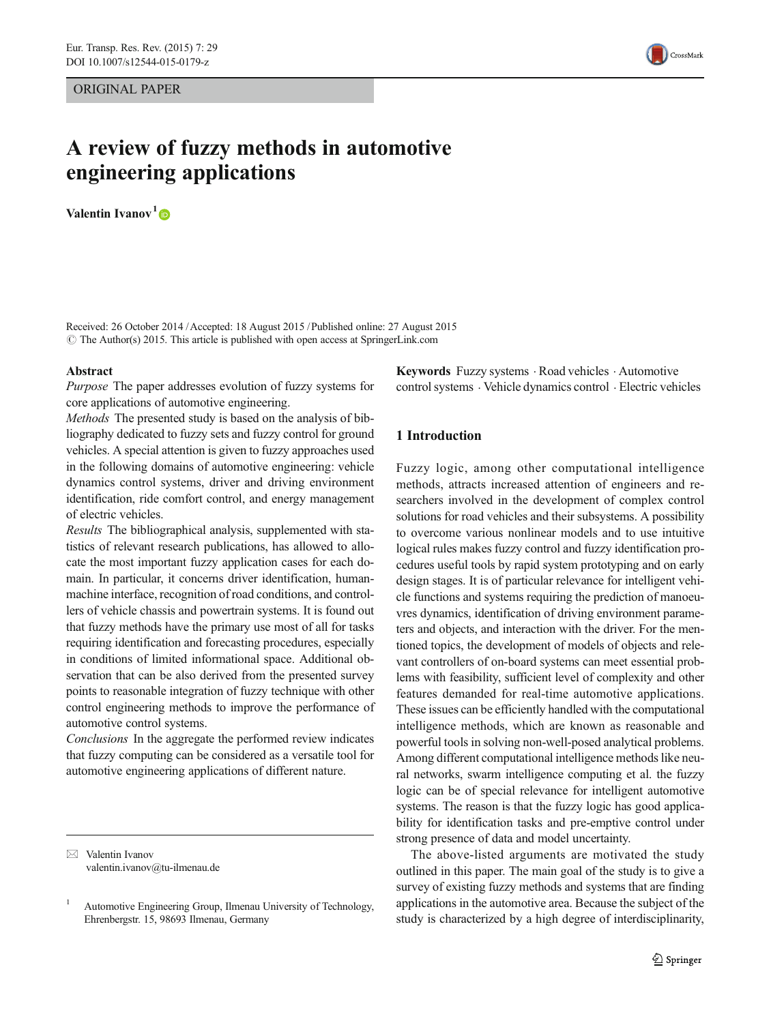ORIGINAL PAPER

# A review of fuzzy methods in automotive engineering applications

Valentin Ivanov<sup>1</sup>

Received: 26 October 2014 /Accepted: 18 August 2015 /Published online: 27 August 2015  $\odot$  The Author(s) 2015. This article is published with open access at SpringerLink.com

#### Abstract

Purpose The paper addresses evolution of fuzzy systems for core applications of automotive engineering.

Methods The presented study is based on the analysis of bibliography dedicated to fuzzy sets and fuzzy control for ground vehicles. A special attention is given to fuzzy approaches used in the following domains of automotive engineering: vehicle dynamics control systems, driver and driving environment identification, ride comfort control, and energy management of electric vehicles.

Results The bibliographical analysis, supplemented with statistics of relevant research publications, has allowed to allocate the most important fuzzy application cases for each domain. In particular, it concerns driver identification, humanmachine interface, recognition of road conditions, and controllers of vehicle chassis and powertrain systems. It is found out that fuzzy methods have the primary use most of all for tasks requiring identification and forecasting procedures, especially in conditions of limited informational space. Additional observation that can be also derived from the presented survey points to reasonable integration of fuzzy technique with other control engineering methods to improve the performance of automotive control systems.

Conclusions In the aggregate the performed review indicates that fuzzy computing can be considered as a versatile tool for automotive engineering applications of different nature.

 $\boxtimes$  Valentin Ivanov valentin.ivanov@tu-ilmenau.de Keywords Fuzzy systems . Road vehicles . Automotive control systems . Vehicle dynamics control . Electric vehicles

## 1 Introduction

Fuzzy logic, among other computational intelligence methods, attracts increased attention of engineers and researchers involved in the development of complex control solutions for road vehicles and their subsystems. A possibility to overcome various nonlinear models and to use intuitive logical rules makes fuzzy control and fuzzy identification procedures useful tools by rapid system prototyping and on early design stages. It is of particular relevance for intelligent vehicle functions and systems requiring the prediction of manoeuvres dynamics, identification of driving environment parameters and objects, and interaction with the driver. For the mentioned topics, the development of models of objects and relevant controllers of on-board systems can meet essential problems with feasibility, sufficient level of complexity and other features demanded for real-time automotive applications. These issues can be efficiently handled with the computational intelligence methods, which are known as reasonable and powerful tools in solving non-well-posed analytical problems. Among different computational intelligence methods like neural networks, swarm intelligence computing et al. the fuzzy logic can be of special relevance for intelligent automotive systems. The reason is that the fuzzy logic has good applicability for identification tasks and pre-emptive control under strong presence of data and model uncertainty.

The above-listed arguments are motivated the study outlined in this paper. The main goal of the study is to give a survey of existing fuzzy methods and systems that are finding applications in the automotive area. Because the subject of the study is characterized by a high degree of interdisciplinarity,



<sup>&</sup>lt;sup>1</sup> Automotive Engineering Group, Ilmenau University of Technology, Ehrenbergstr. 15, 98693 Ilmenau, Germany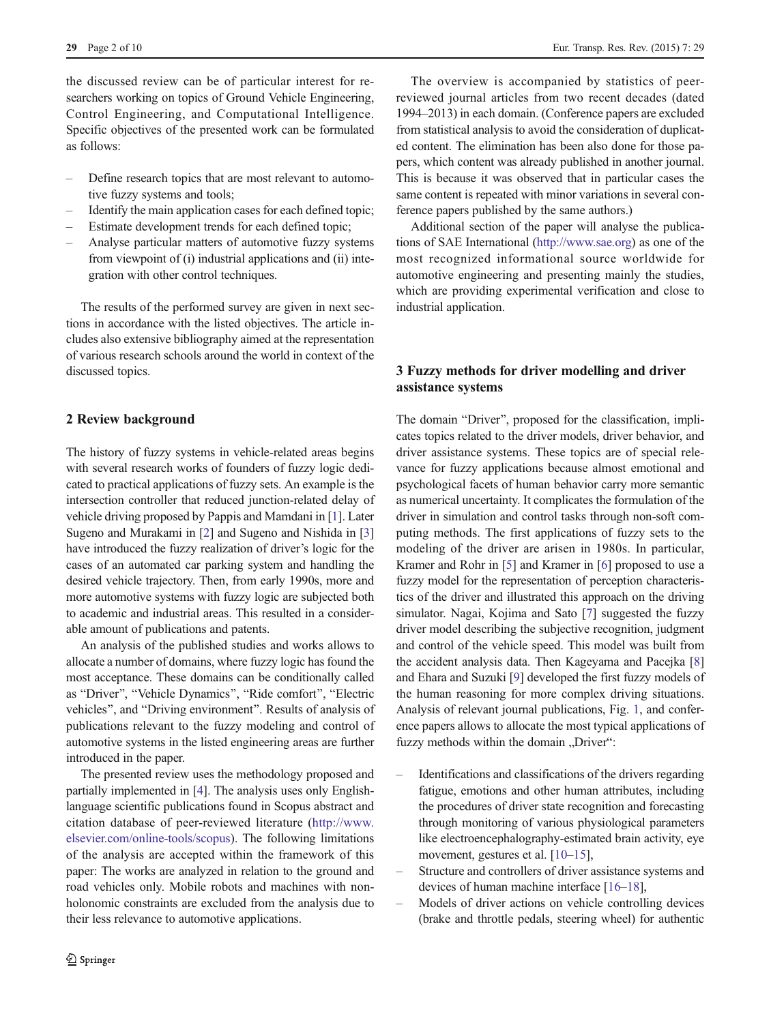the discussed review can be of particular interest for researchers working on topics of Ground Vehicle Engineering, Control Engineering, and Computational Intelligence. Specific objectives of the presented work can be formulated as follows:

- Define research topics that are most relevant to automotive fuzzy systems and tools;
- Identify the main application cases for each defined topic;
- Estimate development trends for each defined topic;
- Analyse particular matters of automotive fuzzy systems from viewpoint of (i) industrial applications and (ii) integration with other control techniques.

The results of the performed survey are given in next sections in accordance with the listed objectives. The article includes also extensive bibliography aimed at the representation of various research schools around the world in context of the discussed topics.

#### 2 Review background

The history of fuzzy systems in vehicle-related areas begins with several research works of founders of fuzzy logic dedicated to practical applications of fuzzy sets. An example is the intersection controller that reduced junction-related delay of vehicle driving proposed by Pappis and Mamdani in [\[1](#page-6-0)]. Later Sugeno and Murakami in [\[2](#page-6-0)] and Sugeno and Nishida in [\[3\]](#page-6-0) have introduced the fuzzy realization of driver's logic for the cases of an automated car parking system and handling the desired vehicle trajectory. Then, from early 1990s, more and more automotive systems with fuzzy logic are subjected both to academic and industrial areas. This resulted in a considerable amount of publications and patents.

An analysis of the published studies and works allows to allocate a number of domains, where fuzzy logic has found the most acceptance. These domains can be conditionally called as "Driver", "Vehicle Dynamics", "Ride comfort", "Electric vehicles", and "Driving environment". Results of analysis of publications relevant to the fuzzy modeling and control of automotive systems in the listed engineering areas are further introduced in the paper.

The presented review uses the methodology proposed and partially implemented in [\[4](#page-6-0)]. The analysis uses only Englishlanguage scientific publications found in Scopus abstract and citation database of peer-reviewed literature [\(http://www.](http://www.elsevier.com/online-tools/scopus) [elsevier.com/online-tools/scopus](http://www.elsevier.com/online-tools/scopus)). The following limitations of the analysis are accepted within the framework of this paper: The works are analyzed in relation to the ground and road vehicles only. Mobile robots and machines with nonholonomic constraints are excluded from the analysis due to their less relevance to automotive applications.

The overview is accompanied by statistics of peerreviewed journal articles from two recent decades (dated 1994–2013) in each domain. (Conference papers are excluded from statistical analysis to avoid the consideration of duplicated content. The elimination has been also done for those papers, which content was already published in another journal. This is because it was observed that in particular cases the same content is repeated with minor variations in several conference papers published by the same authors.)

Additional section of the paper will analyse the publications of SAE International ([http://www.sae.org\)](http://www.sae.org/) as one of the most recognized informational source worldwide for automotive engineering and presenting mainly the studies, which are providing experimental verification and close to industrial application.

## 3 Fuzzy methods for driver modelling and driver assistance systems

The domain "Driver", proposed for the classification, implicates topics related to the driver models, driver behavior, and driver assistance systems. These topics are of special relevance for fuzzy applications because almost emotional and psychological facets of human behavior carry more semantic as numerical uncertainty. It complicates the formulation of the driver in simulation and control tasks through non-soft computing methods. The first applications of fuzzy sets to the modeling of the driver are arisen in 1980s. In particular, Kramer and Rohr in [\[5\]](#page-6-0) and Kramer in [[6](#page-6-0)] proposed to use a fuzzy model for the representation of perception characteristics of the driver and illustrated this approach on the driving simulator. Nagai, Kojima and Sato [[7\]](#page-6-0) suggested the fuzzy driver model describing the subjective recognition, judgment and control of the vehicle speed. This model was built from the accident analysis data. Then Kageyama and Pacejka [\[8](#page-6-0)] and Ehara and Suzuki [[9\]](#page-6-0) developed the first fuzzy models of the human reasoning for more complex driving situations. Analysis of relevant journal publications, Fig. [1](#page-2-0), and conference papers allows to allocate the most typical applications of fuzzy methods within the domain "Driver":

- Identifications and classifications of the drivers regarding fatigue, emotions and other human attributes, including the procedures of driver state recognition and forecasting through monitoring of various physiological parameters like electroencephalography-estimated brain activity, eye movement, gestures et al. [\[10](#page-6-0)–[15\]](#page-6-0),
- Structure and controllers of driver assistance systems and devices of human machine interface [[16](#page-6-0)–[18](#page-6-0)],
- Models of driver actions on vehicle controlling devices (brake and throttle pedals, steering wheel) for authentic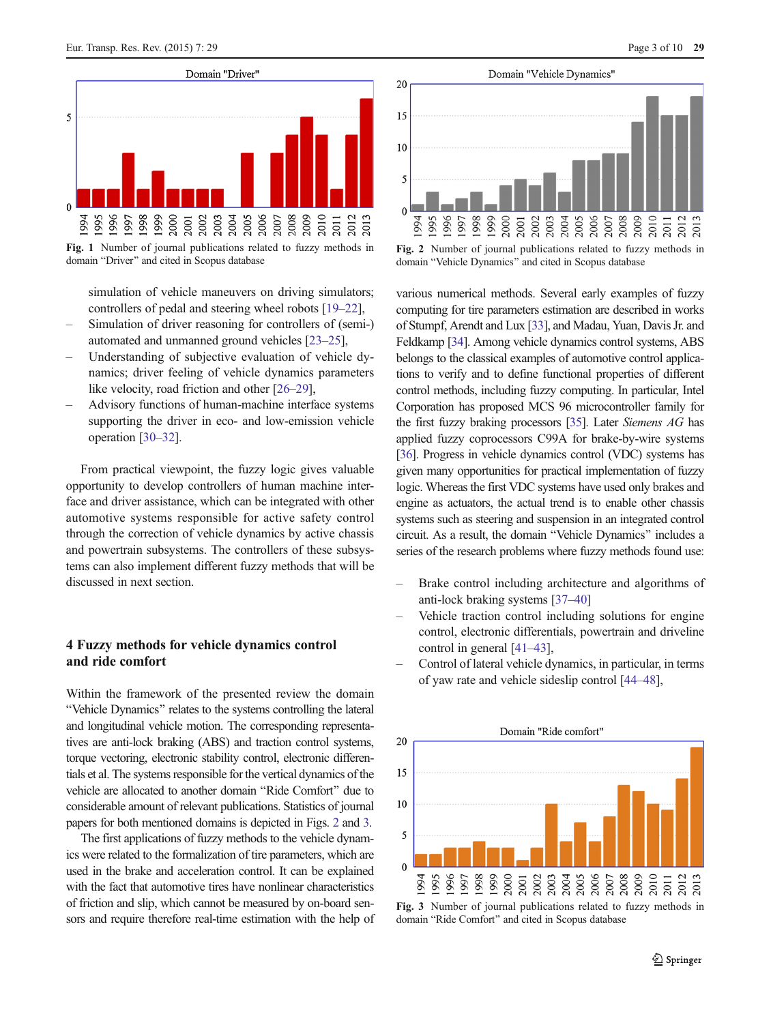<span id="page-2-0"></span>

Fig. 1 Number of journal publications related to fuzzy methods in domain "Driver" and cited in Scopus database

simulation of vehicle maneuvers on driving simulators; controllers of pedal and steering wheel robots [\[19](#page-6-0)–[22](#page-6-0)],

- Simulation of driver reasoning for controllers of (semi-) automated and unmanned ground vehicles [\[23](#page-6-0)–[25](#page-6-0)],
- Understanding of subjective evaluation of vehicle dynamics; driver feeling of vehicle dynamics parameters like velocity, road friction and other [\[26](#page-6-0)–[29](#page-7-0)],
- Advisory functions of human-machine interface systems supporting the driver in eco- and low-emission vehicle operation [[30](#page-7-0)–[32](#page-7-0)].

From practical viewpoint, the fuzzy logic gives valuable opportunity to develop controllers of human machine interface and driver assistance, which can be integrated with other automotive systems responsible for active safety control through the correction of vehicle dynamics by active chassis and powertrain subsystems. The controllers of these subsystems can also implement different fuzzy methods that will be discussed in next section.

# 4 Fuzzy methods for vehicle dynamics control and ride comfort

Within the framework of the presented review the domain "Vehicle Dynamics" relates to the systems controlling the lateral and longitudinal vehicle motion. The corresponding representatives are anti-lock braking (ABS) and traction control systems, torque vectoring, electronic stability control, electronic differentials et al. The systems responsible for the vertical dynamics of the vehicle are allocated to another domain "Ride Comfort" due to considerable amount of relevant publications. Statistics of journal papers for both mentioned domains is depicted in Figs. 2 and 3.

The first applications of fuzzy methods to the vehicle dynamics were related to the formalization of tire parameters, which are used in the brake and acceleration control. It can be explained with the fact that automotive tires have nonlinear characteristics of friction and slip, which cannot be measured by on-board sensors and require therefore real-time estimation with the help of



Fig. 2 Number of journal publications related to fuzzy methods in domain "Vehicle Dynamics" and cited in Scopus database

various numerical methods. Several early examples of fuzzy computing for tire parameters estimation are described in works of Stumpf, Arendt and Lux [\[33](#page-7-0)], and Madau, Yuan, Davis Jr. and Feldkamp [\[34](#page-7-0)]. Among vehicle dynamics control systems, ABS belongs to the classical examples of automotive control applications to verify and to define functional properties of different control methods, including fuzzy computing. In particular, Intel Corporation has proposed MCS 96 microcontroller family for the first fuzzy braking processors [\[35\]](#page-7-0). Later Siemens AG has applied fuzzy coprocessors C99A for brake-by-wire systems [\[36](#page-7-0)]. Progress in vehicle dynamics control (VDC) systems has given many opportunities for practical implementation of fuzzy logic. Whereas the first VDC systems have used only brakes and engine as actuators, the actual trend is to enable other chassis systems such as steering and suspension in an integrated control circuit. As a result, the domain "Vehicle Dynamics" includes a series of the research problems where fuzzy methods found use:

- Brake control including architecture and algorithms of anti-lock braking systems [\[37](#page-7-0)–[40](#page-7-0)]
- Vehicle traction control including solutions for engine control, electronic differentials, powertrain and driveline control in general [[41](#page-7-0)–[43](#page-7-0)],
- Control of lateral vehicle dynamics, in particular, in terms of yaw rate and vehicle sideslip control [\[44](#page-7-0)–[48\]](#page-7-0),



Fig. 3 Number of journal publications related to fuzzy methods in domain "Ride Comfort" and cited in Scopus database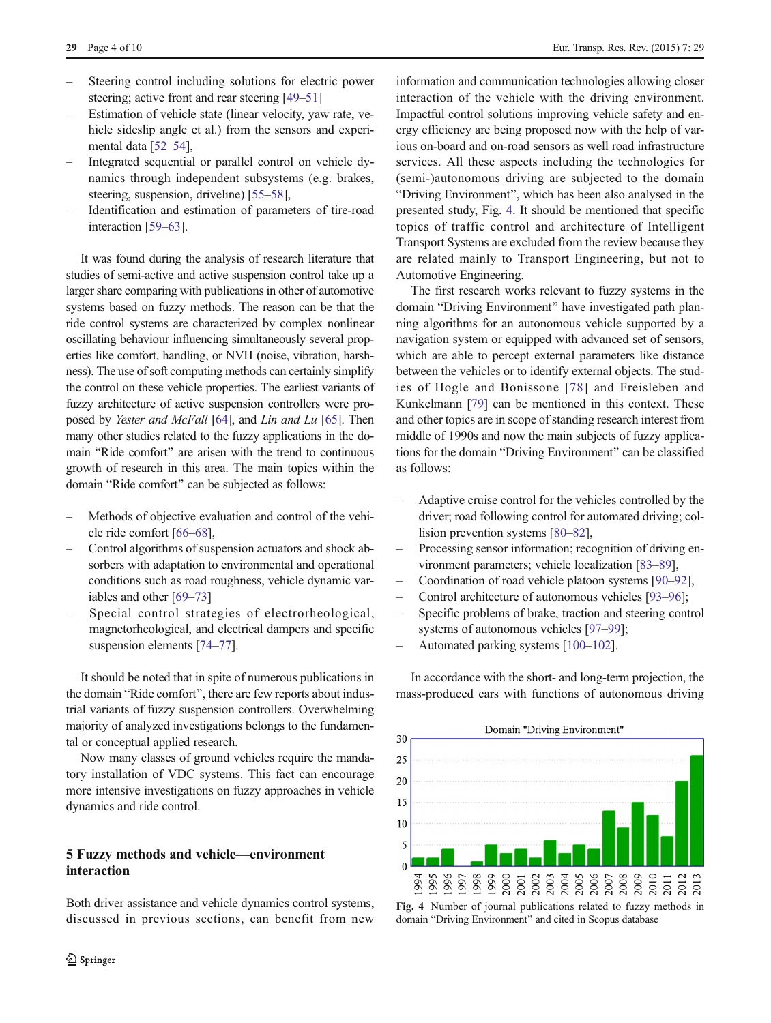- Steering control including solutions for electric power steering; active front and rear steering [\[49](#page-7-0)–[51\]](#page-7-0)
- Estimation of vehicle state (linear velocity, yaw rate, vehicle sideslip angle et al.) from the sensors and experimental data [\[52](#page-7-0)–[54\]](#page-7-0),
- Integrated sequential or parallel control on vehicle dynamics through independent subsystems (e.g. brakes, steering, suspension, driveline) [[55](#page-7-0)–[58](#page-7-0)],
- Identification and estimation of parameters of tire-road interaction [\[59](#page-7-0)–[63\]](#page-7-0).

It was found during the analysis of research literature that studies of semi-active and active suspension control take up a larger share comparing with publications in other of automotive systems based on fuzzy methods. The reason can be that the ride control systems are characterized by complex nonlinear oscillating behaviour influencing simultaneously several properties like comfort, handling, or NVH (noise, vibration, harshness). The use of soft computing methods can certainly simplify the control on these vehicle properties. The earliest variants of fuzzy architecture of active suspension controllers were proposed by Yester and McFall [[64](#page-7-0)], and Lin and Lu [\[65\]](#page-7-0). Then many other studies related to the fuzzy applications in the domain "Ride comfort" are arisen with the trend to continuous growth of research in this area. The main topics within the domain "Ride comfort" can be subjected as follows:

- Methods of objective evaluation and control of the vehicle ride comfort [\[66](#page-7-0)–[68\]](#page-7-0),
- Control algorithms of suspension actuators and shock absorbers with adaptation to environmental and operational conditions such as road roughness, vehicle dynamic variables and other [[69](#page-7-0)–[73](#page-8-0)]
- Special control strategies of electrorheological, magnetorheological, and electrical dampers and specific suspension elements [\[74](#page-8-0)–[77\]](#page-8-0).

It should be noted that in spite of numerous publications in the domain "Ride comfort", there are few reports about industrial variants of fuzzy suspension controllers. Overwhelming majority of analyzed investigations belongs to the fundamental or conceptual applied research.

Now many classes of ground vehicles require the mandatory installation of VDC systems. This fact can encourage more intensive investigations on fuzzy approaches in vehicle dynamics and ride control.

## 5 Fuzzy methods and vehicle—environment interaction

Both driver assistance and vehicle dynamics control systems, discussed in previous sections, can benefit from new

information and communication technologies allowing closer interaction of the vehicle with the driving environment. Impactful control solutions improving vehicle safety and energy efficiency are being proposed now with the help of various on-board and on-road sensors as well road infrastructure services. All these aspects including the technologies for (semi-)autonomous driving are subjected to the domain "Driving Environment", which has been also analysed in the presented study, Fig. 4. It should be mentioned that specific topics of traffic control and architecture of Intelligent Transport Systems are excluded from the review because they are related mainly to Transport Engineering, but not to Automotive Engineering.

The first research works relevant to fuzzy systems in the domain "Driving Environment" have investigated path planning algorithms for an autonomous vehicle supported by a navigation system or equipped with advanced set of sensors, which are able to percept external parameters like distance between the vehicles or to identify external objects. The studies of Hogle and Bonissone [[78](#page-8-0)] and Freisleben and Kunkelmann [\[79\]](#page-8-0) can be mentioned in this context. These and other topics are in scope of standing research interest from middle of 1990s and now the main subjects of fuzzy applications for the domain "Driving Environment" can be classified as follows:

- Adaptive cruise control for the vehicles controlled by the driver; road following control for automated driving; collision prevention systems [[80](#page-8-0)–[82](#page-8-0)],
- Processing sensor information; recognition of driving environment parameters; vehicle localization [\[83](#page-8-0)–[89\]](#page-8-0),
- Coordination of road vehicle platoon systems [\[90](#page-8-0)–[92\]](#page-8-0),
- Control architecture of autonomous vehicles [[93](#page-8-0)–[96](#page-8-0)];
- Specific problems of brake, traction and steering control systems of autonomous vehicles [\[97](#page-8-0)–[99\]](#page-8-0);
- Automated parking systems [[100](#page-8-0)–[102](#page-8-0)].

In accordance with the short- and long-term projection, the mass-produced cars with functions of autonomous driving



Fig. 4 Number of journal publications related to fuzzy methods in domain "Driving Environment" and cited in Scopus database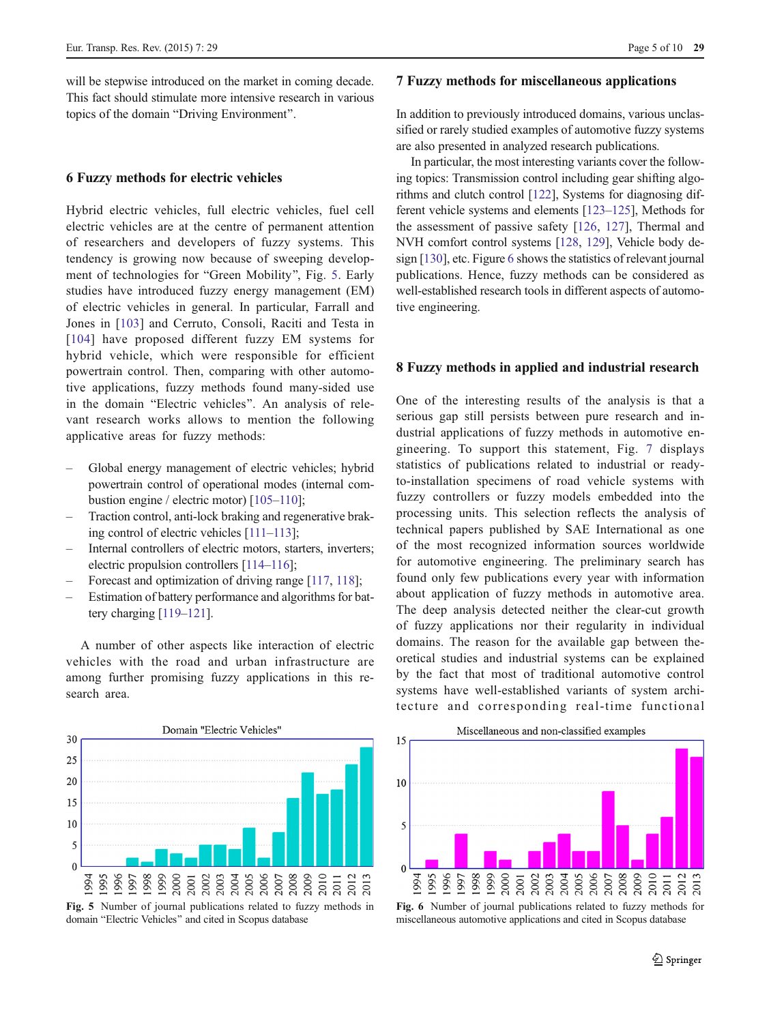will be stepwise introduced on the market in coming decade. This fact should stimulate more intensive research in various topics of the domain "Driving Environment".

#### 6 Fuzzy methods for electric vehicles

Hybrid electric vehicles, full electric vehicles, fuel cell electric vehicles are at the centre of permanent attention of researchers and developers of fuzzy systems. This tendency is growing now because of sweeping development of technologies for "Green Mobility", Fig. 5. Early studies have introduced fuzzy energy management (EM) of electric vehicles in general. In particular, Farrall and Jones in [[103](#page-8-0)] and Cerruto, Consoli, Raciti and Testa in [\[104](#page-8-0)] have proposed different fuzzy EM systems for hybrid vehicle, which were responsible for efficient powertrain control. Then, comparing with other automotive applications, fuzzy methods found many-sided use in the domain "Electric vehicles". An analysis of relevant research works allows to mention the following applicative areas for fuzzy methods:

- Global energy management of electric vehicles; hybrid powertrain control of operational modes (internal combustion engine / electric motor) [\[105](#page-8-0)–[110](#page-8-0)];
- Traction control, anti-lock braking and regenerative braking control of electric vehicles [\[111](#page-8-0)–[113](#page-8-0)];
- Internal controllers of electric motors, starters, inverters; electric propulsion controllers [\[114](#page-9-0)–[116\]](#page-9-0);
- Forecast and optimization of driving range [\[117,](#page-9-0) [118](#page-9-0)];
- Estimation of battery performance and algorithms for battery charging [\[119](#page-9-0)–[121](#page-9-0)].

A number of other aspects like interaction of electric vehicles with the road and urban infrastructure are among further promising fuzzy applications in this research area.



Fig. 5 Number of journal publications related to fuzzy methods in domain "Electric Vehicles" and cited in Scopus database

#### 7 Fuzzy methods for miscellaneous applications

In addition to previously introduced domains, various unclassified or rarely studied examples of automotive fuzzy systems are also presented in analyzed research publications.

In particular, the most interesting variants cover the following topics: Transmission control including gear shifting algorithms and clutch control [\[122](#page-9-0)], Systems for diagnosing different vehicle systems and elements [\[123](#page-9-0)–[125](#page-9-0)], Methods for the assessment of passive safety [\[126](#page-9-0), [127\]](#page-9-0), Thermal and NVH comfort control systems [\[128](#page-9-0), [129\]](#page-9-0), Vehicle body design [\[130](#page-9-0)], etc. Figure 6 shows the statistics of relevant journal publications. Hence, fuzzy methods can be considered as well-established research tools in different aspects of automotive engineering.

#### 8 Fuzzy methods in applied and industrial research

One of the interesting results of the analysis is that a serious gap still persists between pure research and industrial applications of fuzzy methods in automotive engineering. To support this statement, Fig. [7](#page-5-0) displays statistics of publications related to industrial or readyto-installation specimens of road vehicle systems with fuzzy controllers or fuzzy models embedded into the processing units. This selection reflects the analysis of technical papers published by SAE International as one of the most recognized information sources worldwide for automotive engineering. The preliminary search has found only few publications every year with information about application of fuzzy methods in automotive area. The deep analysis detected neither the clear-cut growth of fuzzy applications nor their regularity in individual domains. The reason for the available gap between theoretical studies and industrial systems can be explained by the fact that most of traditional automotive control systems have well-established variants of system architecture and corresponding real-time functional



Fig. 6 Number of journal publications related to fuzzy methods for miscellaneous automotive applications and cited in Scopus database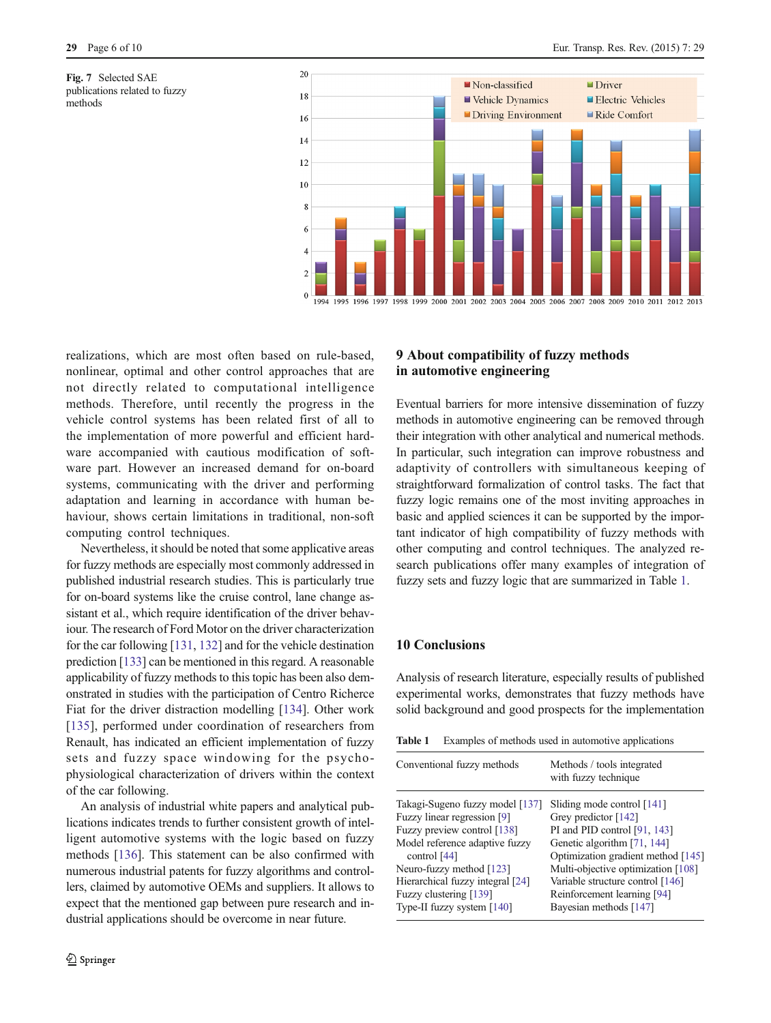<span id="page-5-0"></span>



1994 1995 1996 1997 1998 1999 2000 2001 2002 2003 2004 2005 2006 2007 2008 2009 2010 2011 2012 201

realizations, which are most often based on rule-based, nonlinear, optimal and other control approaches that are not directly related to computational intelligence methods. Therefore, until recently the progress in the vehicle control systems has been related first of all to the implementation of more powerful and efficient hardware accompanied with cautious modification of software part. However an increased demand for on-board systems, communicating with the driver and performing adaptation and learning in accordance with human behaviour, shows certain limitations in traditional, non-soft computing control techniques.

Nevertheless, it should be noted that some applicative areas for fuzzy methods are especially most commonly addressed in published industrial research studies. This is particularly true for on-board systems like the cruise control, lane change assistant et al., which require identification of the driver behaviour. The research of Ford Motor on the driver characterization for the car following [[131](#page-9-0), [132](#page-9-0)] and for the vehicle destination prediction [\[133\]](#page-9-0) can be mentioned in this regard. A reasonable applicability of fuzzy methods to this topic has been also demonstrated in studies with the participation of Centro Richerce Fiat for the driver distraction modelling [[134\]](#page-9-0). Other work [\[135\]](#page-9-0), performed under coordination of researchers from Renault, has indicated an efficient implementation of fuzzy sets and fuzzy space windowing for the psychophysiological characterization of drivers within the context of the car following.

An analysis of industrial white papers and analytical publications indicates trends to further consistent growth of intelligent automotive systems with the logic based on fuzzy methods [\[136](#page-9-0)]. This statement can be also confirmed with numerous industrial patents for fuzzy algorithms and controllers, claimed by automotive OEMs and suppliers. It allows to expect that the mentioned gap between pure research and industrial applications should be overcome in near future.

# 9 About compatibility of fuzzy methods in automotive engineering

Eventual barriers for more intensive dissemination of fuzzy methods in automotive engineering can be removed through their integration with other analytical and numerical methods. In particular, such integration can improve robustness and adaptivity of controllers with simultaneous keeping of straightforward formalization of control tasks. The fact that fuzzy logic remains one of the most inviting approaches in basic and applied sciences it can be supported by the important indicator of high compatibility of fuzzy methods with other computing and control techniques. The analyzed research publications offer many examples of integration of fuzzy sets and fuzzy logic that are summarized in Table 1.

#### 10 Conclusions

Analysis of research literature, especially results of published experimental works, demonstrates that fuzzy methods have solid background and good prospects for the implementation

Table 1 Examples of methods used in automotive applications

| Conventional fuzzy methods                                                                                                                                                                                                                                                | Methods / tools integrated<br>with fuzzy technique                                                                                                                                                                                                                                           |
|---------------------------------------------------------------------------------------------------------------------------------------------------------------------------------------------------------------------------------------------------------------------------|----------------------------------------------------------------------------------------------------------------------------------------------------------------------------------------------------------------------------------------------------------------------------------------------|
| Takagi-Sugeno fuzzy model [137]<br>Fuzzy linear regression [9]<br>Fuzzy preview control [138]<br>Model reference adaptive fuzzy<br>control $[44]$<br>Neuro-fuzzy method [123]<br>Hierarchical fuzzy integral [24]<br>Fuzzy clustering [139]<br>Type-II fuzzy system [140] | Sliding mode control [141]<br>Grey predictor $[142]$<br>PI and PID control [91, 143]<br>Genetic algorithm [71, 144]<br>Optimization gradient method [145]<br>Multi-objective optimization [108]<br>Variable structure control [146]<br>Reinforcement learning [94]<br>Bayesian methods [147] |
|                                                                                                                                                                                                                                                                           |                                                                                                                                                                                                                                                                                              |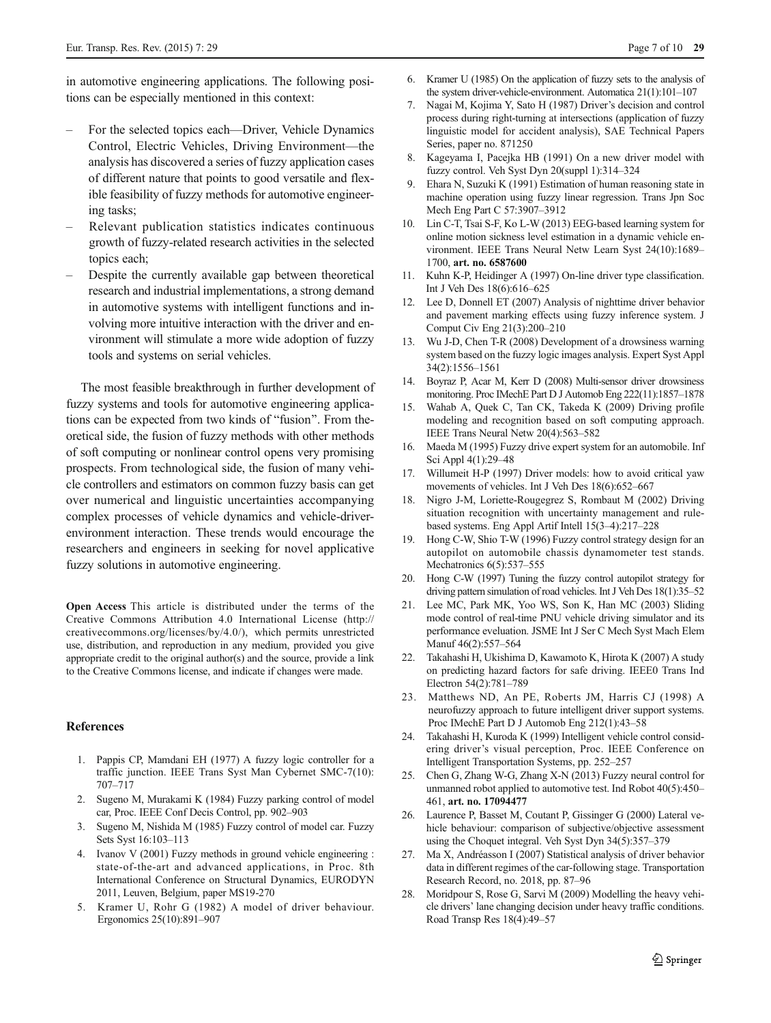<span id="page-6-0"></span>in automotive engineering applications. The following positions can be especially mentioned in this context:

- For the selected topics each—Driver, Vehicle Dynamics Control, Electric Vehicles, Driving Environment—the analysis has discovered a series of fuzzy application cases of different nature that points to good versatile and flexible feasibility of fuzzy methods for automotive engineering tasks;
- Relevant publication statistics indicates continuous growth of fuzzy-related research activities in the selected topics each;
- Despite the currently available gap between theoretical research and industrial implementations, a strong demand in automotive systems with intelligent functions and involving more intuitive interaction with the driver and environment will stimulate a more wide adoption of fuzzy tools and systems on serial vehicles.

The most feasible breakthrough in further development of fuzzy systems and tools for automotive engineering applications can be expected from two kinds of "fusion". From theoretical side, the fusion of fuzzy methods with other methods of soft computing or nonlinear control opens very promising prospects. From technological side, the fusion of many vehicle controllers and estimators on common fuzzy basis can get over numerical and linguistic uncertainties accompanying complex processes of vehicle dynamics and vehicle-driverenvironment interaction. These trends would encourage the researchers and engineers in seeking for novel applicative fuzzy solutions in automotive engineering.

Open Access This article is distributed under the terms of the Creative Commons Attribution 4.0 International License (http:// creativecommons.org/licenses/by/4.0/), which permits unrestricted use, distribution, and reproduction in any medium, provided you give appropriate credit to the original author(s) and the source, provide a link to the Creative Commons license, and indicate if changes were made.

#### **References**

- 1. Pappis CP, Mamdani EH (1977) A fuzzy logic controller for a traffic junction. IEEE Trans Syst Man Cybernet SMC-7(10): 707–717
- 2. Sugeno M, Murakami K (1984) Fuzzy parking control of model car, Proc. IEEE Conf Decis Control, pp. 902–903
- 3. Sugeno M, Nishida M (1985) Fuzzy control of model car. Fuzzy Sets Syst 16:103–113
- 4. Ivanov V (2001) Fuzzy methods in ground vehicle engineering : state-of-the-art and advanced applications, in Proc. 8th International Conference on Structural Dynamics, EURODYN 2011, Leuven, Belgium, paper MS19-270
- 5. Kramer U, Rohr G (1982) A model of driver behaviour. Ergonomics 25(10):891–907
- 6. Kramer U (1985) On the application of fuzzy sets to the analysis of the system driver-vehicle-environment. Automatica 21(1):101–107
- 7. Nagai M, Kojima Y, Sato H (1987) Driver's decision and control process during right-turning at intersections (application of fuzzy linguistic model for accident analysis), SAE Technical Papers Series, paper no. 871250
- 8. Kageyama I, Pacejka HB (1991) On a new driver model with fuzzy control. Veh Syst Dyn 20(suppl 1):314–324
- 9. Ehara N, Suzuki K (1991) Estimation of human reasoning state in machine operation using fuzzy linear regression. Trans Jpn Soc Mech Eng Part C 57:3907–3912
- 10. Lin C-T, Tsai S-F, Ko L-W (2013) EEG-based learning system for online motion sickness level estimation in a dynamic vehicle environment. IEEE Trans Neural Netw Learn Syst 24(10):1689– 1700, art. no. 6587600
- 11. Kuhn K-P, Heidinger A (1997) On-line driver type classification. Int J Veh Des 18(6):616–625
- 12. Lee D, Donnell ET (2007) Analysis of nighttime driver behavior and pavement marking effects using fuzzy inference system. J Comput Civ Eng 21(3):200–210
- 13. Wu J-D, Chen T-R (2008) Development of a drowsiness warning system based on the fuzzy logic images analysis. Expert Syst Appl 34(2):1556–1561
- 14. Boyraz P, Acar M, Kerr D (2008) Multi-sensor driver drowsiness monitoring. Proc IMechE Part D J Automob Eng 222(11):1857–1878
- 15. Wahab A, Quek C, Tan CK, Takeda K (2009) Driving profile modeling and recognition based on soft computing approach. IEEE Trans Neural Netw 20(4):563–582
- 16. Maeda M (1995) Fuzzy drive expert system for an automobile. Inf Sci Appl 4(1):29–48
- 17. Willumeit H-P (1997) Driver models: how to avoid critical yaw movements of vehicles. Int J Veh Des 18(6):652–667
- 18. Nigro J-M, Loriette-Rougegrez S, Rombaut M (2002) Driving situation recognition with uncertainty management and rulebased systems. Eng Appl Artif Intell 15(3–4):217–228
- 19. Hong C-W, Shio T-W (1996) Fuzzy control strategy design for an autopilot on automobile chassis dynamometer test stands. Mechatronics 6(5):537–555
- 20. Hong C-W (1997) Tuning the fuzzy control autopilot strategy for driving pattern simulation of road vehicles. Int J Veh Des 18(1):35–52
- 21. Lee MC, Park MK, Yoo WS, Son K, Han MC (2003) Sliding mode control of real-time PNU vehicle driving simulator and its performance eveluation. JSME Int J Ser C Mech Syst Mach Elem Manuf 46(2):557–564
- 22. Takahashi H, Ukishima D, Kawamoto K, Hirota K (2007) A study on predicting hazard factors for safe driving. IEEE0 Trans Ind Electron 54(2):781–789
- 23. Matthews ND, An PE, Roberts JM, Harris CJ (1998) A neurofuzzy approach to future intelligent driver support systems. Proc IMechE Part D J Automob Eng 212(1):43–58
- 24. Takahashi H, Kuroda K (1999) Intelligent vehicle control considering driver's visual perception, Proc. IEEE Conference on Intelligent Transportation Systems, pp. 252–257
- 25. Chen G, Zhang W-G, Zhang X-N (2013) Fuzzy neural control for unmanned robot applied to automotive test. Ind Robot 40(5):450– 461, art. no. 17094477
- 26. Laurence P, Basset M, Coutant P, Gissinger G (2000) Lateral vehicle behaviour: comparison of subjective/objective assessment using the Choquet integral. Veh Syst Dyn 34(5):357–379
- 27. Ma X, Andréasson I (2007) Statistical analysis of driver behavior data in different regimes of the car-following stage. Transportation Research Record, no. 2018, pp. 87–96
- 28. Moridpour S, Rose G, Sarvi M (2009) Modelling the heavy vehicle drivers' lane changing decision under heavy traffic conditions. Road Transp Res 18(4):49–57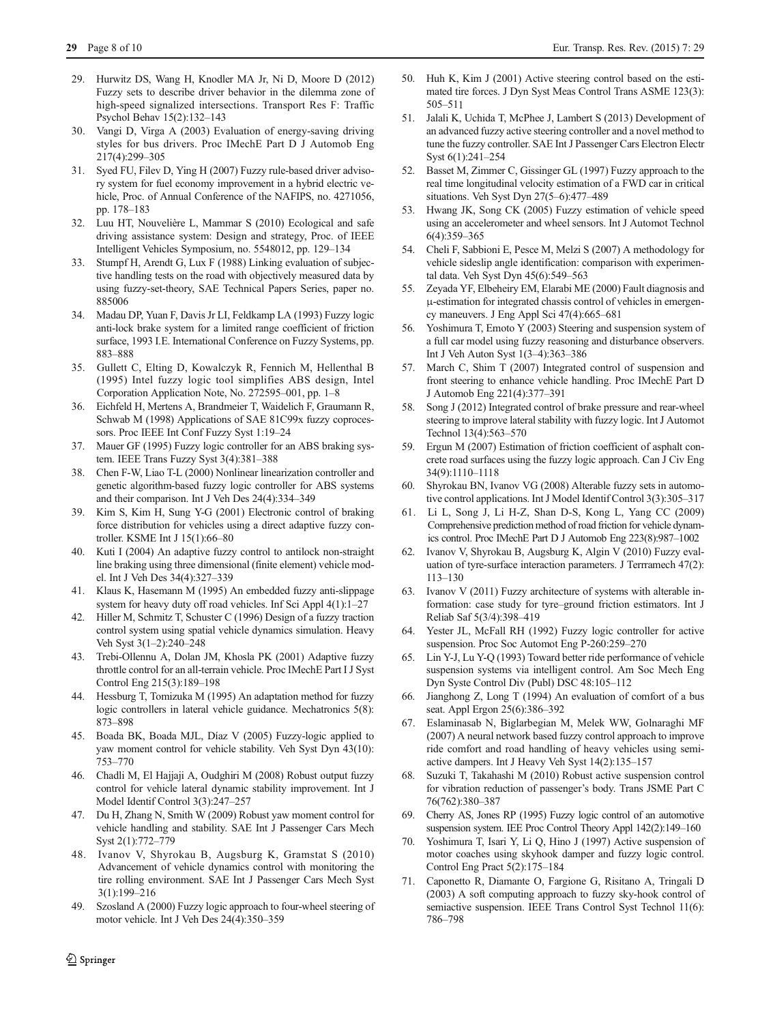- <span id="page-7-0"></span>29. Hurwitz DS, Wang H, Knodler MA Jr, Ni D, Moore D (2012) Fuzzy sets to describe driver behavior in the dilemma zone of high-speed signalized intersections. Transport Res F: Traffic Psychol Behav 15(2):132–143
- 30. Vangi D, Virga A (2003) Evaluation of energy-saving driving styles for bus drivers. Proc IMechE Part D J Automob Eng 217(4):299–305
- 31. Syed FU, Filev D, Ying H (2007) Fuzzy rule-based driver advisory system for fuel economy improvement in a hybrid electric vehicle, Proc. of Annual Conference of the NAFIPS, no. 4271056, pp. 178–183
- 32. Luu HT, Nouvelière L, Mammar S (2010) Ecological and safe driving assistance system: Design and strategy, Proc. of IEEE Intelligent Vehicles Symposium, no. 5548012, pp. 129–134
- 33. Stumpf H, Arendt G, Lux F (1988) Linking evaluation of subjective handling tests on the road with objectively measured data by using fuzzy-set-theory, SAE Technical Papers Series, paper no. 885006
- 34. Madau DP, Yuan F, Davis Jr LI, Feldkamp LA (1993) Fuzzy logic anti-lock brake system for a limited range coefficient of friction surface, 1993 I.E. International Conference on Fuzzy Systems, pp. 883–888
- 35. Gullett C, Elting D, Kowalczyk R, Fennich M, Hellenthal B (1995) Intel fuzzy logic tool simplifies ABS design, Intel Corporation Application Note, No. 272595–001, pp. 1–8
- 36. Eichfeld H, Mertens A, Brandmeier T, Waidelich F, Graumann R, Schwab M (1998) Applications of SAE 81C99x fuzzy coprocessors. Proc IEEE Int Conf Fuzzy Syst 1:19–24
- 37. Mauer GF (1995) Fuzzy logic controller for an ABS braking system. IEEE Trans Fuzzy Syst 3(4):381–388
- 38. Chen F-W, Liao T-L (2000) Nonlinear linearization controller and genetic algorithm-based fuzzy logic controller for ABS systems and their comparison. Int J Veh Des 24(4):334–349
- 39. Kim S, Kim H, Sung Y-G (2001) Electronic control of braking force distribution for vehicles using a direct adaptive fuzzy controller. KSME Int J 15(1):66–80
- 40. Kuti I (2004) An adaptive fuzzy control to antilock non-straight line braking using three dimensional (finite element) vehicle model. Int J Veh Des 34(4):327–339
- 41. Klaus K, Hasemann M (1995) An embedded fuzzy anti-slippage system for heavy duty off road vehicles. Inf Sci Appl 4(1):1–27
- 42. Hiller M, Schmitz T, Schuster C (1996) Design of a fuzzy traction control system using spatial vehicle dynamics simulation. Heavy Veh Syst 3(1–2):240–248
- 43. Trebi-Ollennu A, Dolan JM, Khosla PK (2001) Adaptive fuzzy throttle control for an all-terrain vehicle. Proc IMechE Part I J Syst Control Eng 215(3):189–198
- 44. Hessburg T, Tomizuka M (1995) An adaptation method for fuzzy logic controllers in lateral vehicle guidance. Mechatronics 5(8): 873–898
- 45. Boada BK, Boada MJL, Díaz V (2005) Fuzzy-logic applied to yaw moment control for vehicle stability. Veh Syst Dyn 43(10): 753–770
- 46. Chadli M, El Hajjaji A, Oudghiri M (2008) Robust output fuzzy control for vehicle lateral dynamic stability improvement. Int J Model Identif Control 3(3):247–257
- 47. Du H, Zhang N, Smith W (2009) Robust yaw moment control for vehicle handling and stability. SAE Int J Passenger Cars Mech Syst 2(1):772–779
- 48. Ivanov V, Shyrokau B, Augsburg K, Gramstat S (2010) Advancement of vehicle dynamics control with monitoring the tire rolling environment. SAE Int J Passenger Cars Mech Syst 3(1):199–216
- 49. Szosland A (2000) Fuzzy logic approach to four-wheel steering of motor vehicle. Int J Veh Des 24(4):350–359
- 50. Huh K, Kim J (2001) Active steering control based on the estimated tire forces. J Dyn Syst Meas Control Trans ASME 123(3): 505–511
- 51. Jalali K, Uchida T, McPhee J, Lambert S (2013) Development of an advanced fuzzy active steering controller and a novel method to tune the fuzzy controller. SAE Int J Passenger Cars Electron Electr Syst 6(1):241–254
- 52. Basset M, Zimmer C, Gissinger GL (1997) Fuzzy approach to the real time longitudinal velocity estimation of a FWD car in critical situations. Veh Syst Dyn 27(5–6):477–489
- 53. Hwang JK, Song CK (2005) Fuzzy estimation of vehicle speed using an accelerometer and wheel sensors. Int J Automot Technol 6(4):359–365
- 54. Cheli F, Sabbioni E, Pesce M, Melzi S (2007) A methodology for vehicle sideslip angle identification: comparison with experimental data. Veh Syst Dyn 45(6):549–563
- 55. Zeyada YF, Elbeheiry EM, Elarabi ME (2000) Fault diagnosis and μ-estimation for integrated chassis control of vehicles in emergency maneuvers. J Eng Appl Sci 47(4):665–681
- 56. Yoshimura T, Emoto Y (2003) Steering and suspension system of a full car model using fuzzy reasoning and disturbance observers. Int J Veh Auton Syst 1(3–4):363–386
- 57. March C, Shim T (2007) Integrated control of suspension and front steering to enhance vehicle handling. Proc IMechE Part D J Automob Eng 221(4):377–391
- 58. Song J (2012) Integrated control of brake pressure and rear-wheel steering to improve lateral stability with fuzzy logic. Int J Automot Technol 13(4):563–570
- Ergun M (2007) Estimation of friction coefficient of asphalt concrete road surfaces using the fuzzy logic approach. Can J Civ Eng 34(9):1110–1118
- 60. Shyrokau BN, Ivanov VG (2008) Alterable fuzzy sets in automotive control applications. Int J Model Identif Control 3(3):305–317
- 61. Li L, Song J, Li H-Z, Shan D-S, Kong L, Yang CC (2009) Comprehensive prediction method of road friction for vehicle dynamics control. Proc IMechE Part D J Automob Eng 223(8):987–1002
- 62. Ivanov V, Shyrokau B, Augsburg K, Algin V (2010) Fuzzy evaluation of tyre-surface interaction parameters. J Terrramech 47(2): 113–130
- 63. Ivanov V (2011) Fuzzy architecture of systems with alterable information: case study for tyre–ground friction estimators. Int J Reliab Saf 5(3/4):398–419
- 64. Yester JL, McFall RH (1992) Fuzzy logic controller for active suspension. Proc Soc Automot Eng P-260:259–270
- Lin Y-J, Lu Y-Q (1993) Toward better ride performance of vehicle suspension systems via intelligent control. Am Soc Mech Eng Dyn Syste Control Div (Publ) DSC 48:105–112
- 66. Jianghong Z, Long T (1994) An evaluation of comfort of a bus seat. Appl Ergon 25(6):386–392
- 67. Eslaminasab N, Biglarbegian M, Melek WW, Golnaraghi MF (2007) A neural network based fuzzy control approach to improve ride comfort and road handling of heavy vehicles using semiactive dampers. Int J Heavy Veh Syst 14(2):135–157
- 68. Suzuki T, Takahashi M (2010) Robust active suspension control for vibration reduction of passenger's body. Trans JSME Part C 76(762):380–387
- 69. Cherry AS, Jones RP (1995) Fuzzy logic control of an automotive suspension system. IEE Proc Control Theory Appl 142(2):149–160
- 70. Yoshimura T, Isari Y, Li Q, Hino J (1997) Active suspension of motor coaches using skyhook damper and fuzzy logic control. Control Eng Pract 5(2):175–184
- 71. Caponetto R, Diamante O, Fargione G, Risitano A, Tringali D (2003) A soft computing approach to fuzzy sky-hook control of semiactive suspension. IEEE Trans Control Syst Technol 11(6): 786–798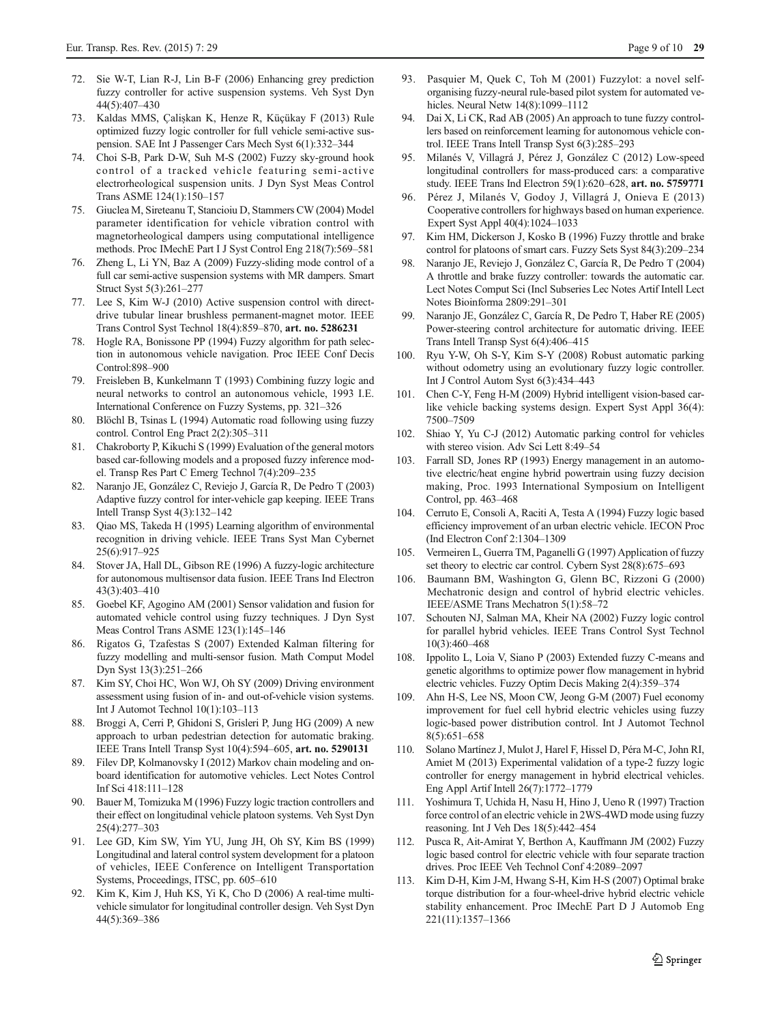- <span id="page-8-0"></span>72. Sie W-T, Lian R-J, Lin B-F (2006) Enhancing grey prediction fuzzy controller for active suspension systems. Veh Syst Dyn 44(5):407–430
- 73. Kaldas MMS, Çalişkan K, Henze R, Küçükay F (2013) Rule optimized fuzzy logic controller for full vehicle semi-active suspension. SAE Int J Passenger Cars Mech Syst 6(1):332–344
- 74. Choi S-B, Park D-W, Suh M-S (2002) Fuzzy sky-ground hook control of a tracked vehicle featuring semi-active electrorheological suspension units. J Dyn Syst Meas Control Trans ASME 124(1):150–157
- 75. Giuclea M, Sireteanu T, Stancioiu D, Stammers CW (2004) Model parameter identification for vehicle vibration control with magnetorheological dampers using computational intelligence methods. Proc IMechE Part I J Syst Control Eng 218(7):569–581
- 76. Zheng L, Li YN, Baz A (2009) Fuzzy-sliding mode control of a full car semi-active suspension systems with MR dampers. Smart Struct Syst 5(3):261–277
- 77. Lee S, Kim W-J (2010) Active suspension control with directdrive tubular linear brushless permanent-magnet motor. IEEE Trans Control Syst Technol 18(4):859–870, art. no. 5286231
- 78. Hogle RA, Bonissone PP (1994) Fuzzy algorithm for path selection in autonomous vehicle navigation. Proc IEEE Conf Decis Control:898–900
- 79. Freisleben B, Kunkelmann T (1993) Combining fuzzy logic and neural networks to control an autonomous vehicle, 1993 I.E. International Conference on Fuzzy Systems, pp. 321–326
- 80. Blöchl B, Tsinas L (1994) Automatic road following using fuzzy control. Control Eng Pract 2(2):305–311
- 81. Chakroborty P, Kikuchi S (1999) Evaluation of the general motors based car-following models and a proposed fuzzy inference model. Transp Res Part C Emerg Technol 7(4):209–235
- 82. Naranjo JE, González C, Reviejo J, García R, De Pedro T (2003) Adaptive fuzzy control for inter-vehicle gap keeping. IEEE Trans Intell Transp Syst 4(3):132–142
- 83. Qiao MS, Takeda H (1995) Learning algorithm of environmental recognition in driving vehicle. IEEE Trans Syst Man Cybernet 25(6):917–925
- Stover JA, Hall DL, Gibson RE (1996) A fuzzy-logic architecture for autonomous multisensor data fusion. IEEE Trans Ind Electron 43(3):403–410
- 85. Goebel KF, Agogino AM (2001) Sensor validation and fusion for automated vehicle control using fuzzy techniques. J Dyn Syst Meas Control Trans ASME 123(1):145–146
- 86. Rigatos G, Tzafestas S (2007) Extended Kalman filtering for fuzzy modelling and multi-sensor fusion. Math Comput Model Dyn Syst 13(3):251–266
- 87. Kim SY, Choi HC, Won WJ, Oh SY (2009) Driving environment assessment using fusion of in- and out-of-vehicle vision systems. Int J Automot Technol 10(1):103–113
- 88. Broggi A, Cerri P, Ghidoni S, Grisleri P, Jung HG (2009) A new approach to urban pedestrian detection for automatic braking. IEEE Trans Intell Transp Syst 10(4):594–605, art. no. 5290131
- 89. Filev DP, Kolmanovsky I (2012) Markov chain modeling and onboard identification for automotive vehicles. Lect Notes Control Inf Sci 418:111–128
- 90. Bauer M, Tomizuka M (1996) Fuzzy logic traction controllers and their effect on longitudinal vehicle platoon systems. Veh Syst Dyn 25(4):277–303
- 91. Lee GD, Kim SW, Yim YU, Jung JH, Oh SY, Kim BS (1999) Longitudinal and lateral control system development for a platoon of vehicles, IEEE Conference on Intelligent Transportation Systems, Proceedings, ITSC, pp. 605–610
- 92. Kim K, Kim J, Huh KS, Yi K, Cho D (2006) A real-time multivehicle simulator for longitudinal controller design. Veh Syst Dyn 44(5):369–386
- 93. Pasquier M, Quek C, Toh M (2001) Fuzzylot: a novel selforganising fuzzy-neural rule-based pilot system for automated vehicles. Neural Netw 14(8):1099–1112
- 94. Dai X, Li CK, Rad AB (2005) An approach to tune fuzzy controllers based on reinforcement learning for autonomous vehicle control. IEEE Trans Intell Transp Syst 6(3):285–293
- 95. Milanés V, Villagrá J, Pérez J, González C (2012) Low-speed longitudinal controllers for mass-produced cars: a comparative study. IEEE Trans Ind Electron 59(1):620–628, art. no. 5759771
- 96. Pérez J, Milanés V, Godoy J, Villagrá J, Onieva E (2013) Cooperative controllers for highways based on human experience. Expert Syst Appl 40(4):1024–1033
- 97. Kim HM, Dickerson J, Kosko B (1996) Fuzzy throttle and brake control for platoons of smart cars. Fuzzy Sets Syst 84(3):209–234
- 98. Naranjo JE, Reviejo J, González C, García R, De Pedro T (2004) A throttle and brake fuzzy controller: towards the automatic car. Lect Notes Comput Sci (Incl Subseries Lec Notes Artif Intell Lect Notes Bioinforma 2809:291–301
- 99. Naranjo JE, González C, García R, De Pedro T, Haber RE (2005) Power-steering control architecture for automatic driving. IEEE Trans Intell Transp Syst 6(4):406–415
- 100. Ryu Y-W, Oh S-Y, Kim S-Y (2008) Robust automatic parking without odometry using an evolutionary fuzzy logic controller. Int J Control Autom Syst 6(3):434–443
- 101. Chen C-Y, Feng H-M (2009) Hybrid intelligent vision-based carlike vehicle backing systems design. Expert Syst Appl 36(4): 7500–7509
- 102. Shiao Y, Yu C-J (2012) Automatic parking control for vehicles with stereo vision. Adv Sci Lett 8:49–54
- 103. Farrall SD, Jones RP (1993) Energy management in an automotive electric/heat engine hybrid powertrain using fuzzy decision making, Proc. 1993 International Symposium on Intelligent Control, pp. 463–468
- 104. Cerruto E, Consoli A, Raciti A, Testa A (1994) Fuzzy logic based efficiency improvement of an urban electric vehicle. IECON Proc (Ind Electron Conf 2:1304–1309
- 105. Vermeiren L, Guerra TM, Paganelli G (1997) Application of fuzzy set theory to electric car control. Cybern Syst 28(8):675–693
- 106. Baumann BM, Washington G, Glenn BC, Rizzoni G (2000) Mechatronic design and control of hybrid electric vehicles. IEEE/ASME Trans Mechatron 5(1):58–72
- 107. Schouten NJ, Salman MA, Kheir NA (2002) Fuzzy logic control for parallel hybrid vehicles. IEEE Trans Control Syst Technol 10(3):460–468
- 108. Ippolito L, Loia V, Siano P (2003) Extended fuzzy C-means and genetic algorithms to optimize power flow management in hybrid electric vehicles. Fuzzy Optim Decis Making 2(4):359–374
- 109. Ahn H-S, Lee NS, Moon CW, Jeong G-M (2007) Fuel economy improvement for fuel cell hybrid electric vehicles using fuzzy logic-based power distribution control. Int J Automot Technol 8(5):651–658
- 110. Solano Martínez J, Mulot J, Harel F, Hissel D, Péra M-C, John RI, Amiet M (2013) Experimental validation of a type-2 fuzzy logic controller for energy management in hybrid electrical vehicles. Eng Appl Artif Intell 26(7):1772–1779
- 111. Yoshimura T, Uchida H, Nasu H, Hino J, Ueno R (1997) Traction force control of an electric vehicle in 2WS-4WD mode using fuzzy reasoning. Int J Veh Des 18(5):442–454
- 112. Pusca R, Ait-Amirat Y, Berthon A, Kauffmann JM (2002) Fuzzy logic based control for electric vehicle with four separate traction drives. Proc IEEE Veh Technol Conf 4:2089–2097
- 113. Kim D-H, Kim J-M, Hwang S-H, Kim H-S (2007) Optimal brake torque distribution for a four-wheel-drive hybrid electric vehicle stability enhancement. Proc IMechE Part D J Automob Eng 221(11):1357–1366